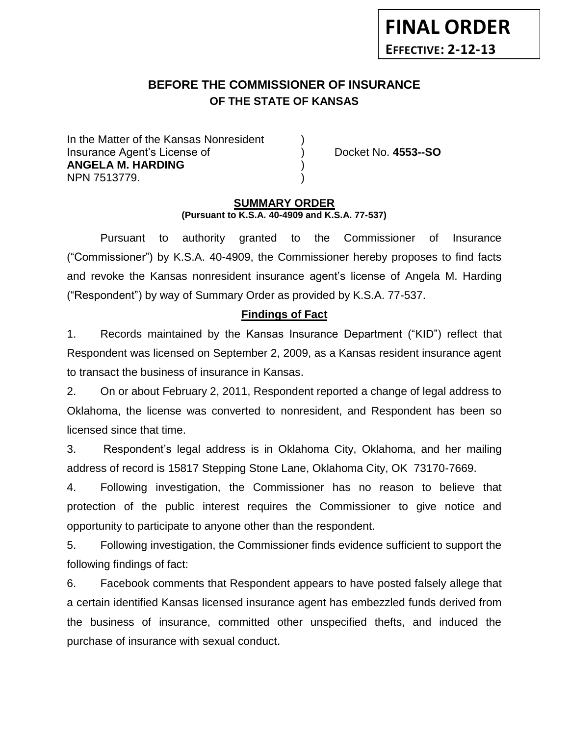# **BEFORE THE COMMISSIONER OF INSURANCE OF THE STATE OF KANSAS**

In the Matter of the Kansas Nonresident Insurance Agent's License of ) Docket No. **4553--SO ANGELA M. HARDING** ) NPN 7513779. )

**FINAL ORDER**

**EFFECTIVE: 2-12-13**

#### **SUMMARY ORDER (Pursuant to K.S.A. 40-4909 and K.S.A. 77-537)**

Pursuant to authority granted to the Commissioner of Insurance ("Commissioner") by K.S.A. 40-4909, the Commissioner hereby proposes to find facts and revoke the Kansas nonresident insurance agent's license of Angela M. Harding ("Respondent") by way of Summary Order as provided by K.S.A. 77-537.

### **Findings of Fact**

1. Records maintained by the Kansas Insurance Department ("KID") reflect that Respondent was licensed on September 2, 2009, as a Kansas resident insurance agent to transact the business of insurance in Kansas.

2. On or about February 2, 2011, Respondent reported a change of legal address to Oklahoma, the license was converted to nonresident, and Respondent has been so licensed since that time.

3. Respondent's legal address is in Oklahoma City, Oklahoma, and her mailing address of record is 15817 Stepping Stone Lane, Oklahoma City, OK 73170-7669.

4. Following investigation, the Commissioner has no reason to believe that protection of the public interest requires the Commissioner to give notice and opportunity to participate to anyone other than the respondent.

5. Following investigation, the Commissioner finds evidence sufficient to support the following findings of fact:

6. Facebook comments that Respondent appears to have posted falsely allege that a certain identified Kansas licensed insurance agent has embezzled funds derived from the business of insurance, committed other unspecified thefts, and induced the purchase of insurance with sexual conduct.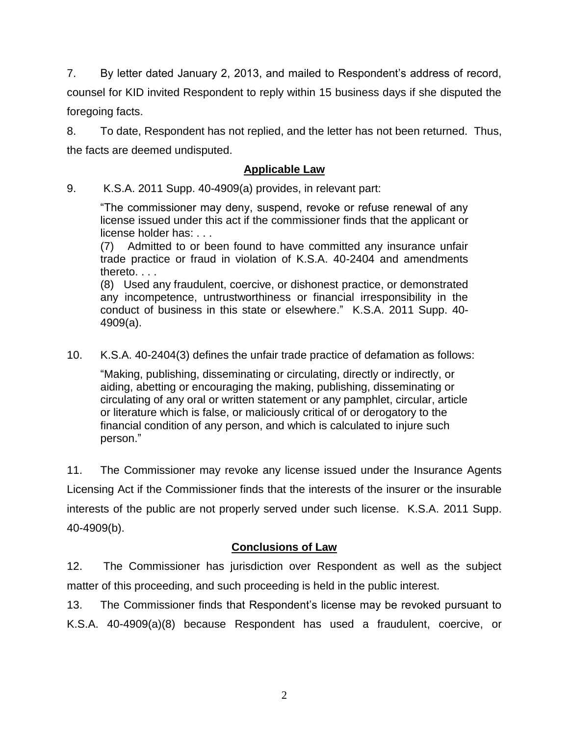7. By letter dated January 2, 2013, and mailed to Respondent's address of record, counsel for KID invited Respondent to reply within 15 business days if she disputed the foregoing facts.

8. To date, Respondent has not replied, and the letter has not been returned. Thus, the facts are deemed undisputed.

### **Applicable Law**

9. K.S.A. 2011 Supp. 40-4909(a) provides, in relevant part:

"The commissioner may deny, suspend, revoke or refuse renewal of any license issued under this act if the commissioner finds that the applicant or license holder has: . . .

(7) Admitted to or been found to have committed any insurance unfair trade practice or fraud in violation of K.S.A. 40-2404 and amendments thereto. . . .

(8) Used any fraudulent, coercive, or dishonest practice, or demonstrated any incompetence, untrustworthiness or financial irresponsibility in the conduct of business in this state or elsewhere." K.S.A. 2011 Supp. 40- 4909(a).

10. K.S.A. 40-2404(3) defines the unfair trade practice of defamation as follows:

"Making, publishing, disseminating or circulating, directly or indirectly, or aiding, abetting or encouraging the making, publishing, disseminating or circulating of any oral or written statement or any pamphlet, circular, article or literature which is false, or maliciously critical of or derogatory to the financial condition of any person, and which is calculated to injure such person."

11. The Commissioner may revoke any license issued under the Insurance Agents Licensing Act if the Commissioner finds that the interests of the insurer or the insurable interests of the public are not properly served under such license. K.S.A. 2011 Supp. 40-4909(b).

# **Conclusions of Law**

12. The Commissioner has jurisdiction over Respondent as well as the subject matter of this proceeding, and such proceeding is held in the public interest.

13. The Commissioner finds that Respondent's license may be revoked pursuant to K.S.A. 40-4909(a)(8) because Respondent has used a fraudulent, coercive, or

2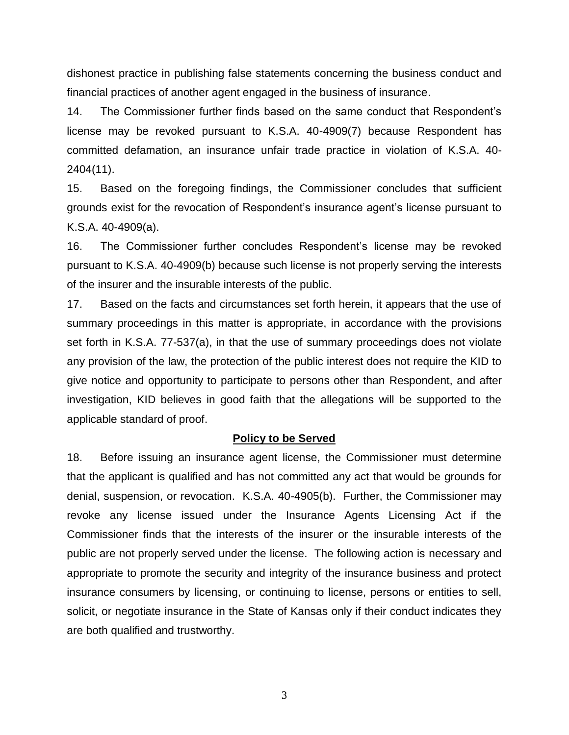dishonest practice in publishing false statements concerning the business conduct and financial practices of another agent engaged in the business of insurance.

14. The Commissioner further finds based on the same conduct that Respondent's license may be revoked pursuant to K.S.A. 40-4909(7) because Respondent has committed defamation, an insurance unfair trade practice in violation of K.S.A. 40- 2404(11).

15. Based on the foregoing findings, the Commissioner concludes that sufficient grounds exist for the revocation of Respondent's insurance agent's license pursuant to K.S.A. 40-4909(a).

16. The Commissioner further concludes Respondent's license may be revoked pursuant to K.S.A. 40-4909(b) because such license is not properly serving the interests of the insurer and the insurable interests of the public.

17. Based on the facts and circumstances set forth herein, it appears that the use of summary proceedings in this matter is appropriate, in accordance with the provisions set forth in K.S.A. 77-537(a), in that the use of summary proceedings does not violate any provision of the law, the protection of the public interest does not require the KID to give notice and opportunity to participate to persons other than Respondent, and after investigation, KID believes in good faith that the allegations will be supported to the applicable standard of proof.

#### **Policy to be Served**

18. Before issuing an insurance agent license, the Commissioner must determine that the applicant is qualified and has not committed any act that would be grounds for denial, suspension, or revocation. K.S.A. 40-4905(b). Further, the Commissioner may revoke any license issued under the Insurance Agents Licensing Act if the Commissioner finds that the interests of the insurer or the insurable interests of the public are not properly served under the license. The following action is necessary and appropriate to promote the security and integrity of the insurance business and protect insurance consumers by licensing, or continuing to license, persons or entities to sell, solicit, or negotiate insurance in the State of Kansas only if their conduct indicates they are both qualified and trustworthy.

3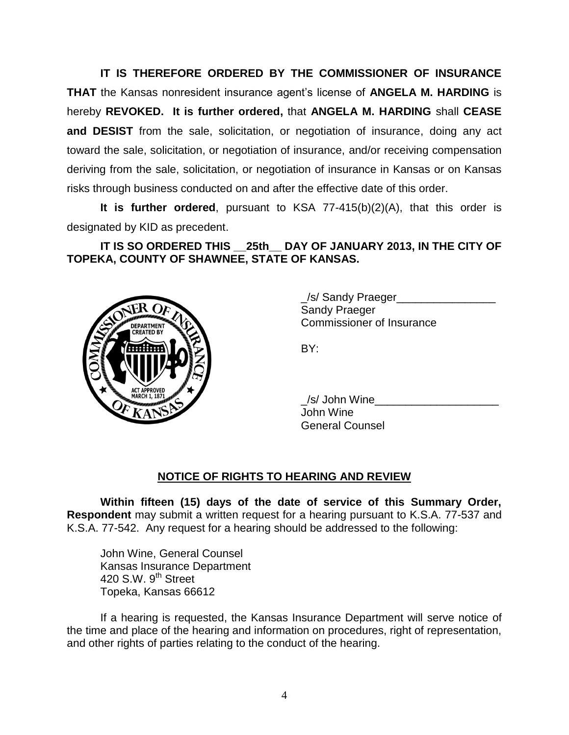**IT IS THEREFORE ORDERED BY THE COMMISSIONER OF INSURANCE THAT** the Kansas nonresident insurance agent's license of **ANGELA M. HARDING** is hereby **REVOKED. It is further ordered,** that **ANGELA M. HARDING** shall **CEASE and DESIST** from the sale, solicitation, or negotiation of insurance, doing any act toward the sale, solicitation, or negotiation of insurance, and/or receiving compensation deriving from the sale, solicitation, or negotiation of insurance in Kansas or on Kansas risks through business conducted on and after the effective date of this order.

**It is further ordered**, pursuant to KSA 77-415(b)(2)(A), that this order is designated by KID as precedent.

**IT IS SO ORDERED THIS \_\_25th\_\_ DAY OF JANUARY 2013, IN THE CITY OF TOPEKA, COUNTY OF SHAWNEE, STATE OF KANSAS.**



\_/s/ Sandy Praeger\_\_\_\_\_\_\_\_\_\_\_\_\_\_\_\_ Sandy Praeger Commissioner of Insurance

BY:

/s/ John Wine John Wine General Counsel

# **NOTICE OF RIGHTS TO HEARING AND REVIEW**

**Within fifteen (15) days of the date of service of this Summary Order, Respondent** may submit a written request for a hearing pursuant to K.S.A. 77-537 and K.S.A. 77-542. Any request for a hearing should be addressed to the following:

John Wine, General Counsel Kansas Insurance Department 420 S.W. 9<sup>th</sup> Street Topeka, Kansas 66612

If a hearing is requested, the Kansas Insurance Department will serve notice of the time and place of the hearing and information on procedures, right of representation, and other rights of parties relating to the conduct of the hearing.